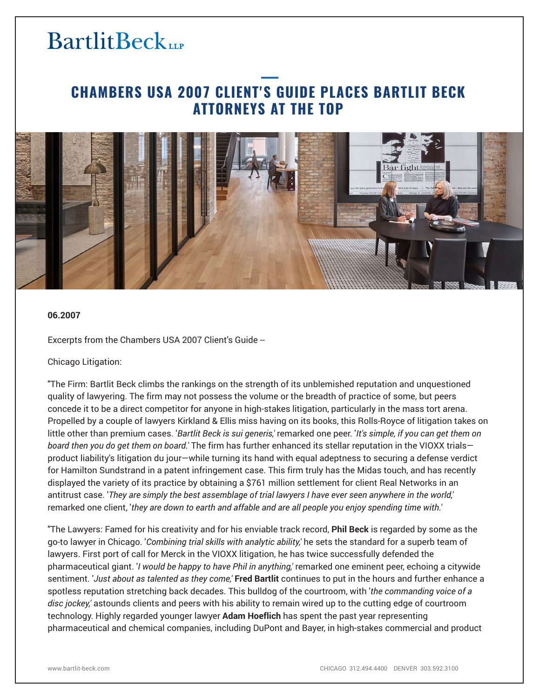## **BartlitBeck**LLP

### **CHAMBERS USA 2007 CLIENT'S GUIDE PLACES BARTLIT BECK ATTORNEYS AT THE TOP**



#### **06.2007**

Excerpts from the Chambers USA 2007 Client's Guide --

Chicago Litigation:

"The Firm: Bartlit Beck climbs the rankings on the strength of its unblemished reputation and unquestioned quality of lawyering. The firm may not possess the volume or the breadth of practice of some, but peers concede it to be a direct competitor for anyone in high-stakes litigation, particularly in the mass tort arena. Propelled by a couple of lawyers Kirkland & Ellis miss having on its books, this Rolls-Royce of litigation takes on little other than premium cases. '*Bartlit Beck is sui generis,'* remarked one peer. '*It's simple, if you can get them on board then you do get them on board.'* The firm has further enhanced its stellar reputation in the VIOXX trials product liability's litigation du jour—while turning its hand with equal adeptness to securing a defense verdict for Hamilton Sundstrand in a patent infringement case. This firm truly has the Midas touch, and has recently displayed the variety of its practice by obtaining a \$761 million settlement for client Real Networks in an antitrust case. '*They are simply the best assemblage of trial lawyers I have ever seen anywhere in the world,'* remarked one client, '*they are down to earth and affable and are all people you enjoy spending time with.'*

"The Lawyers: Famed for his creativity and for his enviable track record, **Phil Beck** is regarded by some as the go-to lawyer in Chicago. '*Combining trial skills with analytic ability,'* he sets the standard for a superb team of lawyers. First port of call for Merck in the VIOXX litigation, he has twice successfully defended the pharmaceutical giant. '*I would be happy to have Phil in anything,'* remarked one eminent peer, echoing a citywide sentiment. '*Just about as talented as they come,'* **Fred Bartlit** continues to put in the hours and further enhance a spotless reputation stretching back decades. This bulldog of the courtroom, with '*the commanding voice of a disc jockey,'* astounds clients and peers with his ability to remain wired up to the cutting edge of courtroom technology. Highly regarded younger lawyer **Adam Hoeflich** has spent the past year representing pharmaceutical and chemical companies, including DuPont and Bayer, in high-stakes commercial and product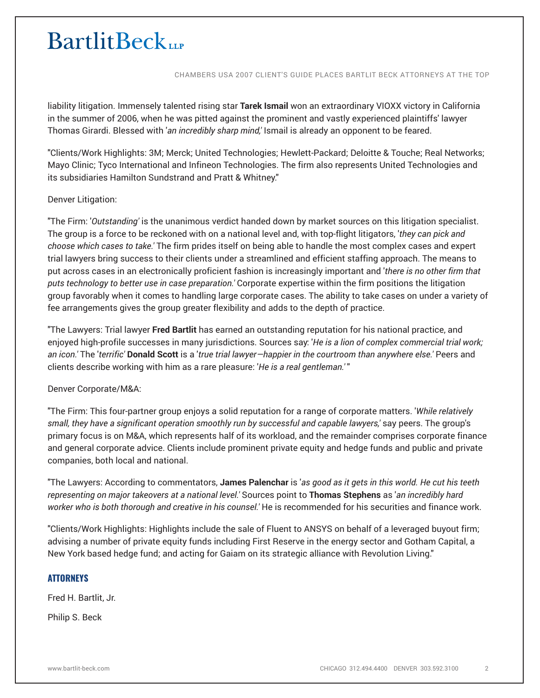# **BartlitBeck**

CHAMBERS USA 2007 CLIENT'S GUIDE PLACES BARTLIT BECK ATTORNEYS AT THE TOP

liability litigation. Immensely talented rising star **Tarek Ismail** won an extraordinary VIOXX victory in California in the summer of 2006, when he was pitted against the prominent and vastly experienced plaintiffs' lawyer Thomas Girardi. Blessed with '*an incredibly sharp mind,'* Ismail is already an opponent to be feared.

"Clients/Work Highlights: 3M; Merck; United Technologies; Hewlett-Packard; Deloitte & Touche; Real Networks; Mayo Clinic; Tyco International and Infineon Technologies. The firm also represents United Technologies and its subsidiaries Hamilton Sundstrand and Pratt & Whitney."

#### Denver Litigation:

"The Firm: '*Outstanding'* is the unanimous verdict handed down by market sources on this litigation specialist. The group is a force to be reckoned with on a national level and, with top-flight litigators, '*they can pick and choose which cases to take.'* The firm prides itself on being able to handle the most complex cases and expert trial lawyers bring success to their clients under a streamlined and efficient staffing approach. The means to put across cases in an electronically proficient fashion is increasingly important and '*there is no other firm that puts technology to better use in case preparation.'* Corporate expertise within the firm positions the litigation group favorably when it comes to handling large corporate cases. The ability to take cases on under a variety of fee arrangements gives the group greater flexibility and adds to the depth of practice.

"The Lawyers: Trial lawyer **Fred Bartlit** has earned an outstanding reputation for his national practice, and enjoyed high-profile successes in many jurisdictions. Sources say: '*He is a lion of complex commercial trial work; an icon.'* The '*terrific'* **Donald Scott** is a '*true trial lawyer—happier in the courtroom than anywhere else.'* Peers and clients describe working with him as a rare pleasure: '*He is a real gentleman.'* "

#### Denver Corporate/M&A:

"The Firm: This four-partner group enjoys a solid reputation for a range of corporate matters. '*While relatively small, they have a significant operation smoothly run by successful and capable lawyers,'* say peers. The group's primary focus is on M&A, which represents half of its workload, and the remainder comprises corporate finance and general corporate advice. Clients include prominent private equity and hedge funds and public and private companies, both local and national.

"The Lawyers: According to commentators, **James Palenchar** is '*as good as it gets in this world. He cut his teeth representing on major takeovers at a national level.'* Sources point to **Thomas Stephens** as '*an incredibly hard worker who is both thorough and creative in his counsel.'* He is recommended for his securities and finance work.

"Clients/Work Highlights: Highlights include the sale of Fluent to ANSYS on behalf of a leveraged buyout firm; advising a number of private equity funds including First Reserve in the energy sector and Gotham Capital, a New York based hedge fund; and acting for Gaiam on its strategic alliance with Revolution Living."

#### **ATTORNEYS**

Fred H. Bartlit, Jr.

Philip S. Beck